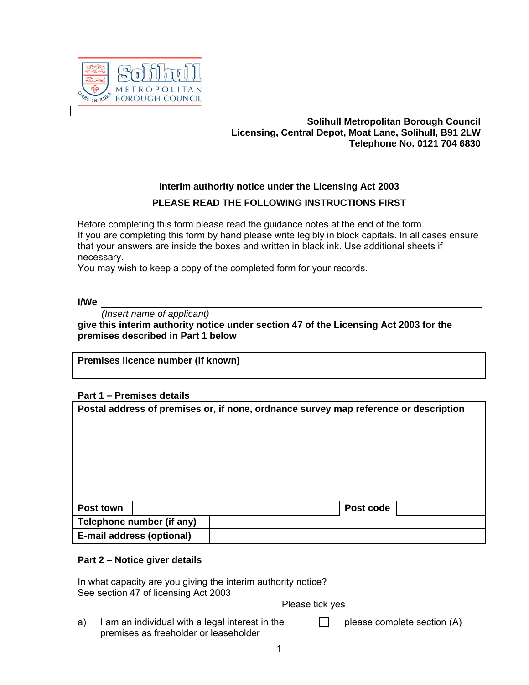

# **Solihull Metropolitan Borough Council Licensing, Central Depot, Moat Lane, Solihull, B91 2LW Telephone No. 0121 704 6830**

# **Interim authority notice under the Licensing Act 2003 PLEASE READ THE FOLLOWING INSTRUCTIONS FIRST**

Before completing this form please read the guidance notes at the end of the form. If you are completing this form by hand please write legibly in block capitals. In all cases ensure that your answers are inside the boxes and written in black ink. Use additional sheets if necessary.

You may wish to keep a copy of the completed form for your records.

### **I/We**

*(Insert name of applicant)*

**give this interim authority notice under section 47 of the Licensing Act 2003 for the premises described in Part 1 below**

**Premises licence number (if known)**

## **Part 1 – Premises details**

| Postal address of premises or, if none, ordnance survey map reference or description |                                  |           |  |  |  |
|--------------------------------------------------------------------------------------|----------------------------------|-----------|--|--|--|
| Post town                                                                            |                                  | Post code |  |  |  |
|                                                                                      | Telephone number (if any)        |           |  |  |  |
|                                                                                      | <b>E-mail address (optional)</b> |           |  |  |  |

### **Part 2 – Notice giver details**

In what capacity are you giving the interim authority notice? See section 47 of licensing Act 2003

Please tick yes

a) I am an individual with a legal interest in the  $\Box$ please complete section (A) premises as freeholder or leaseholder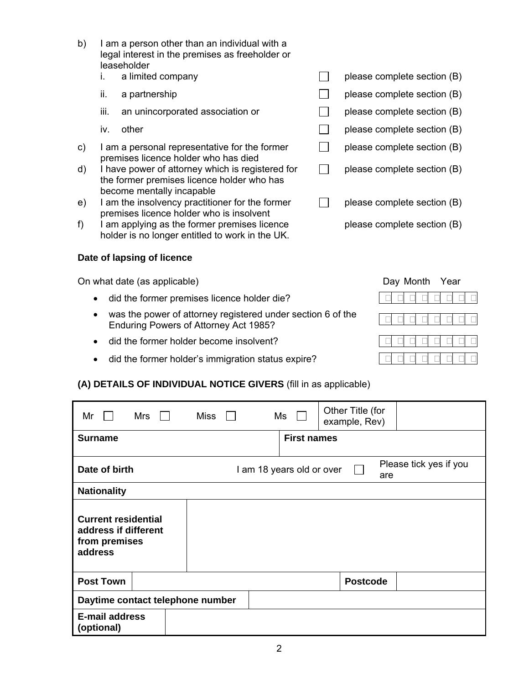b) I am a person other than an individual with a legal interest in the premises as freeholder or leaseholder

|    |     | a limited company                                                                                                           | please complete section (B) |
|----|-----|-----------------------------------------------------------------------------------------------------------------------------|-----------------------------|
|    | ii. | a partnership                                                                                                               | please complete section (B) |
|    | Ш.  | an unincorporated association or                                                                                            | please complete section (B) |
|    | iv. | other                                                                                                                       | please complete section (B) |
| c) |     | I am a personal representative for the former<br>premises licence holder who has died                                       | please complete section (B) |
| d) |     | I have power of attorney which is registered for<br>the former premises licence holder who has<br>become mentally incapable | please complete section (B) |
| e) |     | I am the insolvency practitioner for the former<br>premises licence holder who is insolvent                                 | please complete section (B) |
|    |     | am applying as the former premises licence                                                                                  | please complete section (B) |

f) I am applying as the former premises licence holder is no longer entitled to work in the UK.

# **Date of lapsing of licence**

e)

On what date (as applicable) Day Month Year

- did the former premises licence holder die?
- was the power of attorney registered under section 6 of the Enduring Powers of Attorney Act 1985?
- did the former holder become insolvent?
- did the former holder's immigration status expire?

# **(A) DETAILS OF INDIVIDUAL NOTICE GIVERS** (fill in as applicable)

| Mrs<br>Mr                                                                      |                                  | Miss |  | Ms                        | Other Title (for<br>example, Rev) |     |                        |
|--------------------------------------------------------------------------------|----------------------------------|------|--|---------------------------|-----------------------------------|-----|------------------------|
| <b>Surname</b>                                                                 |                                  |      |  | <b>First names</b>        |                                   |     |                        |
| Date of birth                                                                  |                                  |      |  | I am 18 years old or over |                                   | are | Please tick yes if you |
| <b>Nationality</b>                                                             |                                  |      |  |                           |                                   |     |                        |
| <b>Current residential</b><br>address if different<br>from premises<br>address |                                  |      |  |                           |                                   |     |                        |
| <b>Post Town</b>                                                               |                                  |      |  |                           | <b>Postcode</b>                   |     |                        |
|                                                                                | Daytime contact telephone number |      |  |                           |                                   |     |                        |
| <b>E-mail address</b><br>(optional)                                            |                                  |      |  |                           |                                   |     |                        |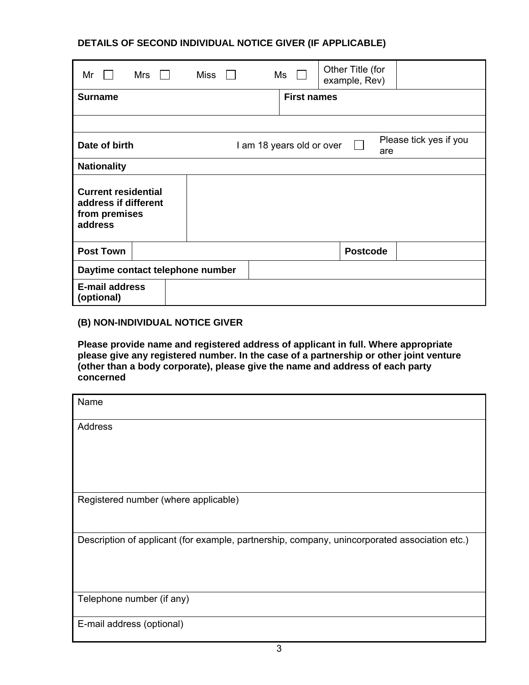# **DETAILS OF SECOND INDIVIDUAL NOTICE GIVER (IF APPLICABLE)**

| Mr<br>Mrs                                                                      | Miss | Ms                                                                    | Other Title (for<br>example, Rev) |  |  |
|--------------------------------------------------------------------------------|------|-----------------------------------------------------------------------|-----------------------------------|--|--|
| <b>Surname</b>                                                                 |      | <b>First names</b>                                                    |                                   |  |  |
|                                                                                |      |                                                                       |                                   |  |  |
| Date of birth                                                                  |      | Please tick yes if you<br>I am 18 years old or over<br>$\perp$<br>are |                                   |  |  |
| <b>Nationality</b>                                                             |      |                                                                       |                                   |  |  |
| <b>Current residential</b><br>address if different<br>from premises<br>address |      |                                                                       |                                   |  |  |
| <b>Post Town</b>                                                               |      |                                                                       | <b>Postcode</b>                   |  |  |
| Daytime contact telephone number                                               |      |                                                                       |                                   |  |  |
| <b>E-mail address</b><br>(optional)                                            |      |                                                                       |                                   |  |  |

## **(B) NON-INDIVIDUAL NOTICE GIVER**

**Please provide name and registered address of applicant in full. Where appropriate please give any registered number. In the case of a partnership or other joint venture (other than a body corporate), please give the name and address of each party concerned**

| Name                                                                                          |
|-----------------------------------------------------------------------------------------------|
| Address                                                                                       |
|                                                                                               |
|                                                                                               |
| Registered number (where applicable)                                                          |
| Description of applicant (for example, partnership, company, unincorporated association etc.) |
| Telephone number (if any)                                                                     |
| E-mail address (optional)                                                                     |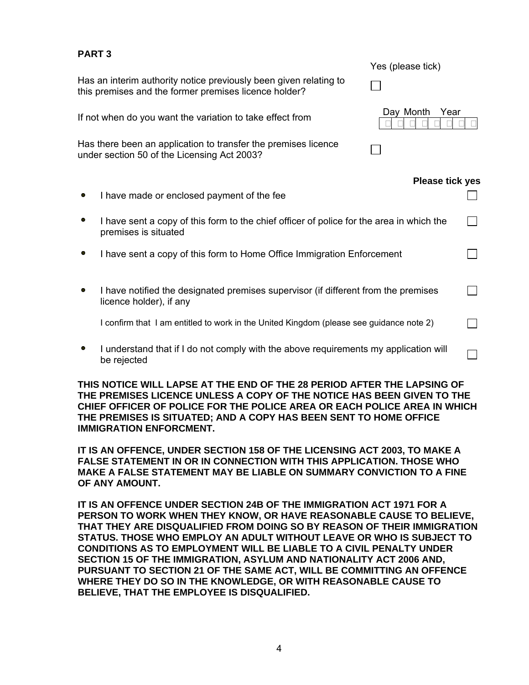| Yes (please tick)                                                                        |
|------------------------------------------------------------------------------------------|
|                                                                                          |
| Day Month<br>Year                                                                        |
|                                                                                          |
| <b>Please tick yes</b>                                                                   |
|                                                                                          |
| I have sent a copy of this form to the chief officer of police for the area in which the |
| I have sent a copy of this form to Home Office Immigration Enforcement                   |
| I have notified the designated premises supervisor (if different from the premises       |
| I confirm that I am entitled to work in the United Kingdom (please see guidance note 2)  |
| I understand that if I do not comply with the above requirements my application will     |
|                                                                                          |

**THIS NOTICE WILL LAPSE AT THE END OF THE 28 PERIOD AFTER THE LAPSING OF THE PREMISES LICENCE UNLESS A COPY OF THE NOTICE HAS BEEN GIVEN TO THE CHIEF OFFICER OF POLICE FOR THE POLICE AREA OR EACH POLICE AREA IN WHICH THE PREMISES IS SITUATED; AND A COPY HAS BEEN SENT TO HOME OFFICE IMMIGRATION ENFORCMENT.**

**IT IS AN OFFENCE, UNDER SECTION 158 OF THE LICENSING ACT 2003, TO MAKE A FALSE STATEMENT IN OR IN CONNECTION WITH THIS APPLICATION. THOSE WHO MAKE A FALSE STATEMENT MAY BE LIABLE ON SUMMARY CONVICTION TO A FINE OF ANY AMOUNT.** 

**IT IS AN OFFENCE UNDER SECTION 24B OF THE IMMIGRATION ACT 1971 FOR A PERSON TO WORK WHEN THEY KNOW, OR HAVE REASONABLE CAUSE TO BELIEVE, THAT THEY ARE DISQUALIFIED FROM DOING SO BY REASON OF THEIR IMMIGRATION STATUS. THOSE WHO EMPLOY AN ADULT WITHOUT LEAVE OR WHO IS SUBJECT TO CONDITIONS AS TO EMPLOYMENT WILL BE LIABLE TO A CIVIL PENALTY UNDER SECTION 15 OF THE IMMIGRATION, ASYLUM AND NATIONALITY ACT 2006 AND, PURSUANT TO SECTION 21 OF THE SAME ACT, WILL BE COMMITTING AN OFFENCE WHERE THEY DO SO IN THE KNOWLEDGE, OR WITH REASONABLE CAUSE TO BELIEVE, THAT THE EMPLOYEE IS DISQUALIFIED.**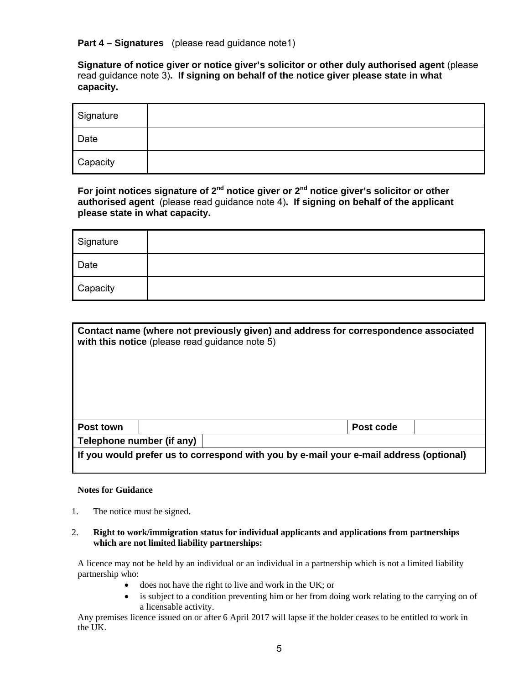### **Part 4 – Signatures** (please read guidance note1)

**Signature of notice giver or notice giver's solicitor or other duly authorised agent** (please read guidance note 3)**. If signing on behalf of the notice giver please state in what capacity.** 

| Signature |  |
|-----------|--|
| Date      |  |
| Capacity  |  |

**For joint notices signature of 2nd notice giver or 2nd notice giver's solicitor or other authorised agent** (please read guidance note 4)**. If signing on behalf of the applicant please state in what capacity.**

| Signature |  |
|-----------|--|
| Date      |  |
| Capacity  |  |

| Contact name (where not previously given) and address for correspondence associated<br>with this notice (please read guidance note 5) |                           |  |           |  |
|---------------------------------------------------------------------------------------------------------------------------------------|---------------------------|--|-----------|--|
| Post town                                                                                                                             |                           |  | Post code |  |
|                                                                                                                                       | Telephone number (if any) |  |           |  |
| If you would prefer us to correspond with you by e-mail your e-mail address (optional)                                                |                           |  |           |  |

## **Notes for Guidance**

1. The notice must be signed.

### 2. **Right to work/immigration status for individual applicants and applications from partnerships which are not limited liability partnerships:**

A licence may not be held by an individual or an individual in a partnership which is not a limited liability partnership who:

- does not have the right to live and work in the UK; or
- is subject to a condition preventing him or her from doing work relating to the carrying on of a licensable activity.

Any premises licence issued on or after 6 April 2017 will lapse if the holder ceases to be entitled to work in the UK.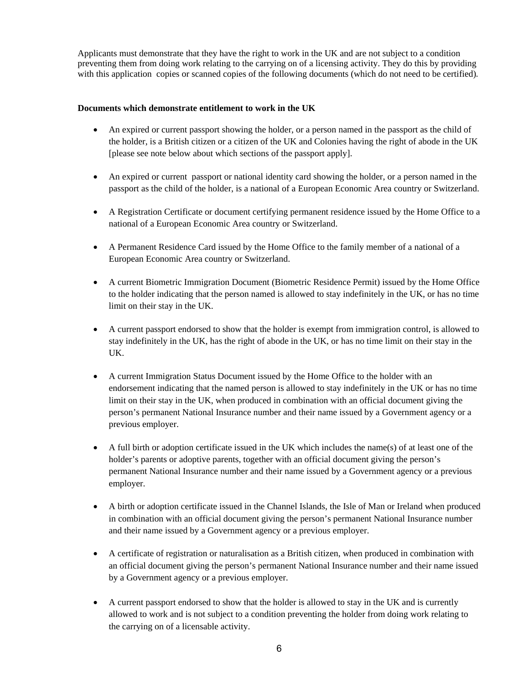Applicants must demonstrate that they have the right to work in the UK and are not subject to a condition preventing them from doing work relating to the carrying on of a licensing activity. They do this by providing with this application copies or scanned copies of the following documents (which do not need to be certified).

### **Documents which demonstrate entitlement to work in the UK**

- An expired or current passport showing the holder, or a person named in the passport as the child of the holder, is a British citizen or a citizen of the UK and Colonies having the right of abode in the UK [please see note below about which sections of the passport apply].
- An expired or current passport or national identity card showing the holder, or a person named in the passport as the child of the holder, is a national of a European Economic Area country or Switzerland.
- A Registration Certificate or document certifying permanent residence issued by the Home Office to a national of a European Economic Area country or Switzerland.
- A Permanent Residence Card issued by the Home Office to the family member of a national of a European Economic Area country or Switzerland.
- A current Biometric Immigration Document (Biometric Residence Permit) issued by the Home Office to the holder indicating that the person named is allowed to stay indefinitely in the UK, or has no time limit on their stay in the UK.
- A current passport endorsed to show that the holder is exempt from immigration control, is allowed to stay indefinitely in the UK, has the right of abode in the UK, or has no time limit on their stay in the UK.
- A current Immigration Status Document issued by the Home Office to the holder with an endorsement indicating that the named person is allowed to stay indefinitely in the UK or has no time limit on their stay in the UK, when produced in combination with an official document giving the person's permanent National Insurance number and their name issued by a Government agency or a previous employer.
- A full birth or adoption certificate issued in the UK which includes the name(s) of at least one of the holder's parents or adoptive parents, together with an official document giving the person's permanent National Insurance number and their name issued by a Government agency or a previous employer.
- A birth or adoption certificate issued in the Channel Islands, the Isle of Man or Ireland when produced in combination with an official document giving the person's permanent National Insurance number and their name issued by a Government agency or a previous employer.
- A certificate of registration or naturalisation as a British citizen, when produced in combination with an official document giving the person's permanent National Insurance number and their name issued by a Government agency or a previous employer.
- A current passport endorsed to show that the holder is allowed to stay in the UK and is currently allowed to work and is not subject to a condition preventing the holder from doing work relating to the carrying on of a licensable activity.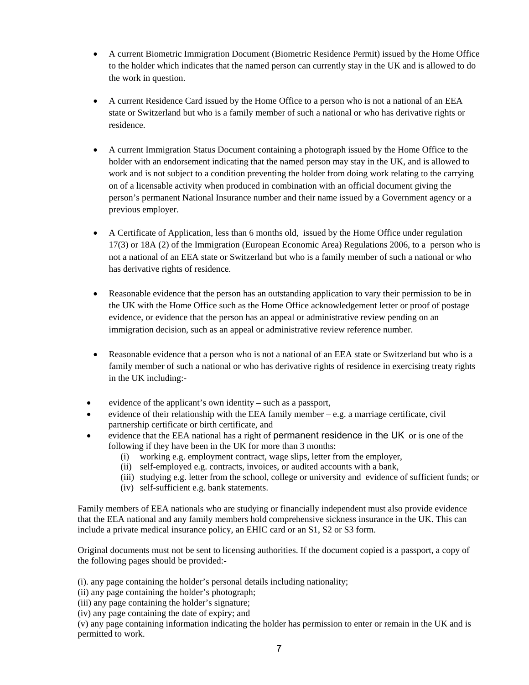- A current Biometric Immigration Document (Biometric Residence Permit) issued by the Home Office to the holder which indicates that the named person can currently stay in the UK and is allowed to do the work in question.
- A current Residence Card issued by the Home Office to a person who is not a national of an EEA state or Switzerland but who is a family member of such a national or who has derivative rights or residence.
- A current Immigration Status Document containing a photograph issued by the Home Office to the holder with an endorsement indicating that the named person may stay in the UK, and is allowed to work and is not subject to a condition preventing the holder from doing work relating to the carrying on of a licensable activity when produced in combination with an official document giving the person's permanent National Insurance number and their name issued by a Government agency or a previous employer.
- A Certificate of Application, less than 6 months old, issued by the Home Office under regulation 17(3) or 18A (2) of the Immigration (European Economic Area) Regulations 2006, to a person who is not a national of an EEA state or Switzerland but who is a family member of such a national or who has derivative rights of residence.
- Reasonable evidence that the person has an outstanding application to vary their permission to be in the UK with the Home Office such as the Home Office acknowledgement letter or proof of postage evidence, or evidence that the person has an appeal or administrative review pending on an immigration decision, such as an appeal or administrative review reference number.
- Reasonable evidence that a person who is not a national of an EEA state or Switzerland but who is a family member of such a national or who has derivative rights of residence in exercising treaty rights in the UK including:-
- evidence of the applicant's own identity such as a passport,
- evidence of their relationship with the EEA family member e.g. a marriage certificate, civil partnership certificate or birth certificate, and
- evidence that the EEA national has a right of permanent residence in the UK or is one of the following if they have been in the UK for more than 3 months:
	- (i) working e.g. employment contract, wage slips, letter from the employer,
	- (ii) self-employed e.g. contracts, invoices, or audited accounts with a bank,
	- (iii) studying e.g. letter from the school, college or university and evidence of sufficient funds; or
	- (iv) self-sufficient e.g. bank statements.

Family members of EEA nationals who are studying or financially independent must also provide evidence that the EEA national and any family members hold comprehensive sickness insurance in the UK. This can include a private medical insurance policy, an EHIC card or an S1, S2 or S3 form.

Original documents must not be sent to licensing authorities. If the document copied is a passport, a copy of the following pages should be provided:-

(i). any page containing the holder's personal details including nationality;

(ii) any page containing the holder's photograph;

(iii) any page containing the holder's signature;

(iv) any page containing the date of expiry; and

(v) any page containing information indicating the holder has permission to enter or remain in the UK and is permitted to work.